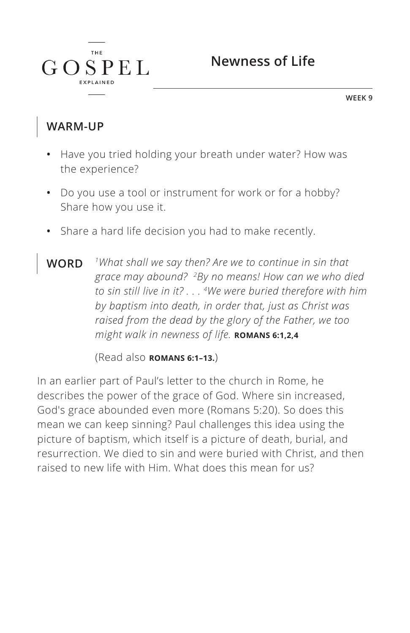

**WEEK 9**

### **WARM-UP**

 $G$ 

**THE** 

SPEL

- **•** Have you tried holding your breath under water? How was the experience?
- **•** Do you use a tool or instrument for work or for a hobby? Share how you use it.
- **•** Share a hard life decision you had to make recently.
- **WORD** *1What shall we say then? Are we to continue in sin that grace may abound? 2By no means! How can we who died to sin still live in it? . . . 4We were buried therefore with him by baptism into death, in order that, just as Christ was raised from the dead by the glory of the Father, we too might walk in newness of life. ^***ROMANS 6:1,2,4**

(Read also **ROMANS 6:1-13.**)

In an earlier part of Paul's letter to the church in Rome, he describes the power of the grace of God. Where sin increased, God's grace abounded even more (Romans 5:20). So does this mean we can keep sinning? Paul challenges this idea using the picture of baptism, which itself is a picture of death, burial, and resurrection. We died to sin and were buried with Christ, and then raised to new life with Him. What does this mean for us?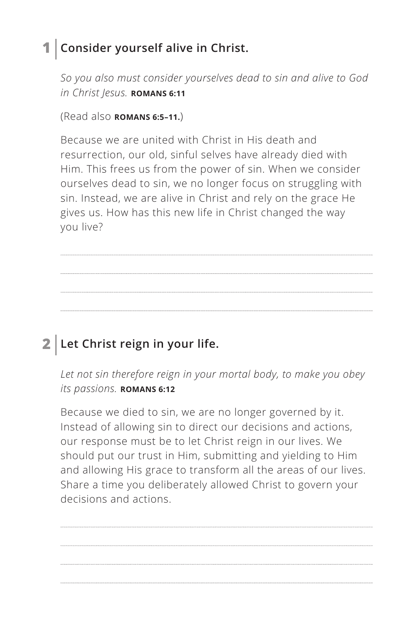## **1 Consider yourself alive in Christ.**

*So you also must consider yourselves dead to sin and alive to God in Christ Jesus. ^***ROMANS 6:11**

(Read also **ROMANS 6:5-11.**)

Because we are united with Christ in His death and resurrection, our old, sinful selves have already died with Him. This frees us from the power of sin. When we consider ourselves dead to sin, we no longer focus on struggling with sin. Instead, we are alive in Christ and rely on the grace He gives us. How has this new life in Christ changed the way you live?

# **2 Let Christ reign in your life.**

*Let not sin therefore reign in your mortal body, to make you obey its passions. ^***ROMANS 6:12**

Because we died to sin, we are no longer governed by it. Instead of allowing sin to direct our decisions and actions, our response must be to let Christ reign in our lives. We should put our trust in Him, submitting and yielding to Him and allowing His grace to transform all the areas of our lives. Share a time you deliberately allowed Christ to govern your decisions and actions.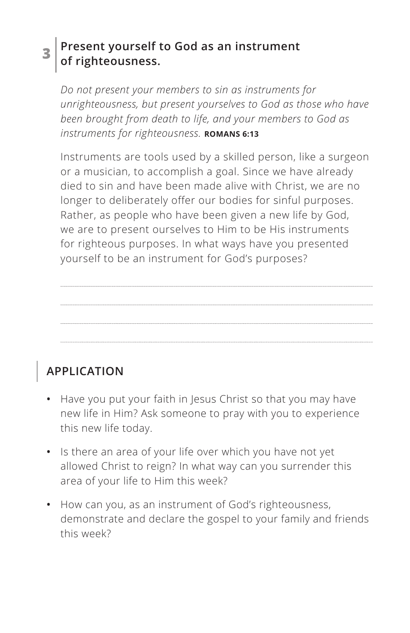### **3 Present yourself to God as an instrument of righteousness.**

*Do not present your members to sin as instruments for unrighteousness, but present yourselves to God as those who have been brought from death to life, and your members to God as instruments for righteousness.* **ROMANS 6:13** 

Instruments are tools used by a skilled person, like a surgeon or a musician, to accomplish a goal. Since we have already died to sin and have been made alive with Christ, we are no longer to deliberately offer our bodies for sinful purposes. Rather, as people who have been given a new life by God, we are to present ourselves to Him to be His instruments for righteous purposes. In what ways have you presented yourself to be an instrument for God's purposes?

# **APPLICATION**

- **•** Have you put your faith in Jesus Christ so that you may have new life in Him? Ask someone to pray with you to experience this new life today.
- **•** Is there an area of your life over which you have not yet allowed Christ to reign? In what way can you surrender this area of your life to Him this week?
- **•** How can you, as an instrument of God's righteousness, demonstrate and declare the gospel to your family and friends this week?